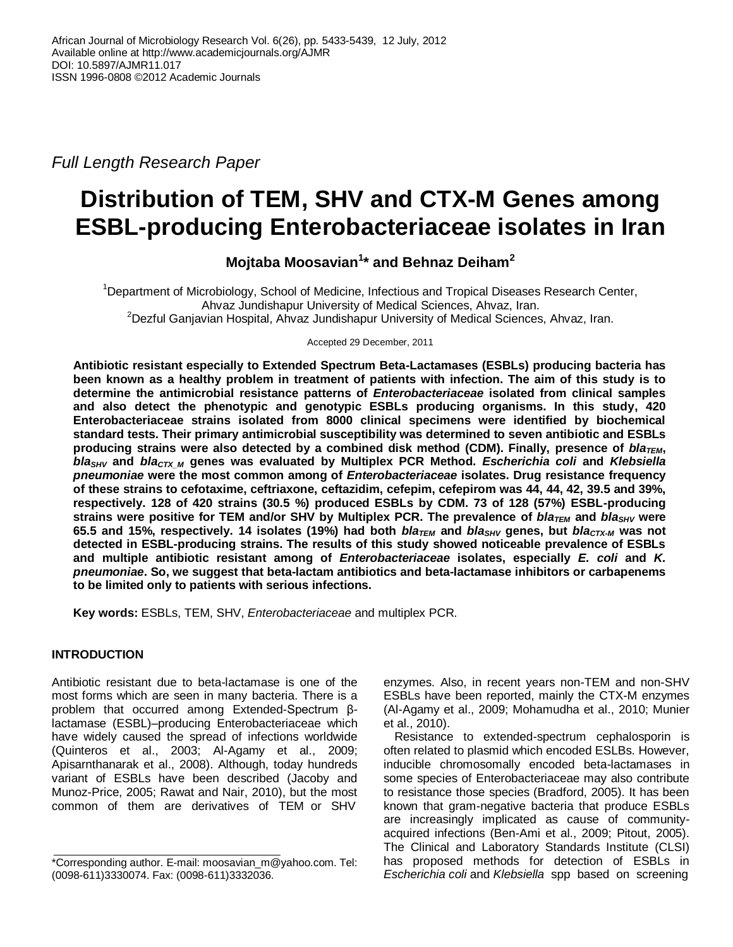*Full Length Research Paper*

# **Distribution of TEM, SHV and CTX-M Genes among ESBL-producing Enterobacteriaceae isolates in Iran**

## **Mojtaba Moosavian<sup>1</sup> \* and Behnaz Deiham<sup>2</sup>**

<sup>1</sup>Department of Microbiology, School of Medicine, Infectious and Tropical Diseases Research Center, Ahvaz Jundishapur University of Medical Sciences, Ahvaz, Iran. <sup>2</sup>Dezful Ganjavian Hospital, Ahvaz Jundishapur University of Medical Sciences, Ahvaz, Iran.

Accepted 29 December, 2011

**Antibiotic resistant especially to Extended Spectrum Beta-Lactamases (ESBLs) producing bacteria has been known as a healthy problem in treatment of patients with infection. The aim of this study is to determine the antimicrobial resistance patterns of** *Enterobacteriaceae* **isolated from clinical samples and also detect the phenotypic and genotypic ESBLs producing organisms. In this study, 420 Enterobacteriaceae strains isolated from 8000 clinical specimens were identified by biochemical standard tests. Their primary antimicrobial susceptibility was determined to seven antibiotic and ESBLs producing strains were also detected by a combined disk method (CDM). Finally, presence of** *blaTEM***,**  *blaSHV* **and** *blaCTX\_M* **genes was evaluated by Multiplex PCR Method.** *Escherichia coli* **and** *Klebsiella pneumoniae* **were the most common among of** *Enterobacteriaceae* **isolates. Drug resistance frequency of these strains to cefotaxime, ceftriaxone, ceftazidim, cefepim, cefepirom was 44, 44, 42, 39.5 and 39%, respectively. 128 of 420 strains (30.5 %) produced ESBLs by CDM. 73 of 128 (57%) ESBL-producing strains were positive for TEM and/or SHV by Multiplex PCR. The prevalence of** *blaTEM* **and** *blaSHV* **were 65.5 and 15%, respectively. 14 isolates (19%) had both** *blaTEM* **and** *blaSHV* **genes, but** *blaCTX-M* **was not detected in ESBL-producing strains. The results of this study showed noticeable prevalence of ESBLs and multiple antibiotic resistant among of** *Enterobacteriaceae* **isolates, especially** *E. coli* **and** *K. pneumoniae***. So, we suggest that beta-lactam antibiotics and beta-lactamase inhibitors or carbapenems to be limited only to patients with serious infections.** 

**Key words:** ESBLs, TEM, SHV, *Enterobacteriaceae* and multiplex PCR.

## **INTRODUCTION**

Antibiotic resistant due to beta-lactamase is one of the most forms which are seen in many bacteria. There is a problem that occurred among Extended-Spectrum βlactamase (ESBL)–producing Enterobacteriaceae which have widely caused the spread of infections worldwide (Quinteros et al., 2003; Al-Agamy et al., 2009; Apisarnthanarak et al., 2008). Although, today hundreds variant of ESBLs have been described (Jacoby and Munoz-Price, 2005; Rawat and Nair, 2010), but the most common of them are derivatives of TEM or SHV

enzymes. Also, in recent years non-TEM and non-SHV ESBLs have been reported, mainly the CTX-M enzymes (Al-Agamy et al., 2009; Mohamudha et al., 2010; Munier et al., 2010).

Resistance to extended-spectrum cephalosporin is often related to plasmid which encoded ESLBs. However, inducible chromosomally encoded beta-lactamases in some species of Enterobacteriaceae may also contribute to resistance those species (Bradford, 2005). It has been known that gram-negative bacteria that produce ESBLs are increasingly implicated as cause of communityacquired infections (Ben-Ami et al., 2009; Pitout, 2005). The Clinical and Laboratory Standards Institute (CLSI) has proposed methods for detection of ESBLs in *Escherichia coli* and *Klebsiella* spp based on screening

<sup>\*</sup>Corresponding author. E-mail: moosavian\_m@yahoo.com. Tel: (0098-611)3330074. Fax: (0098-611)3332036.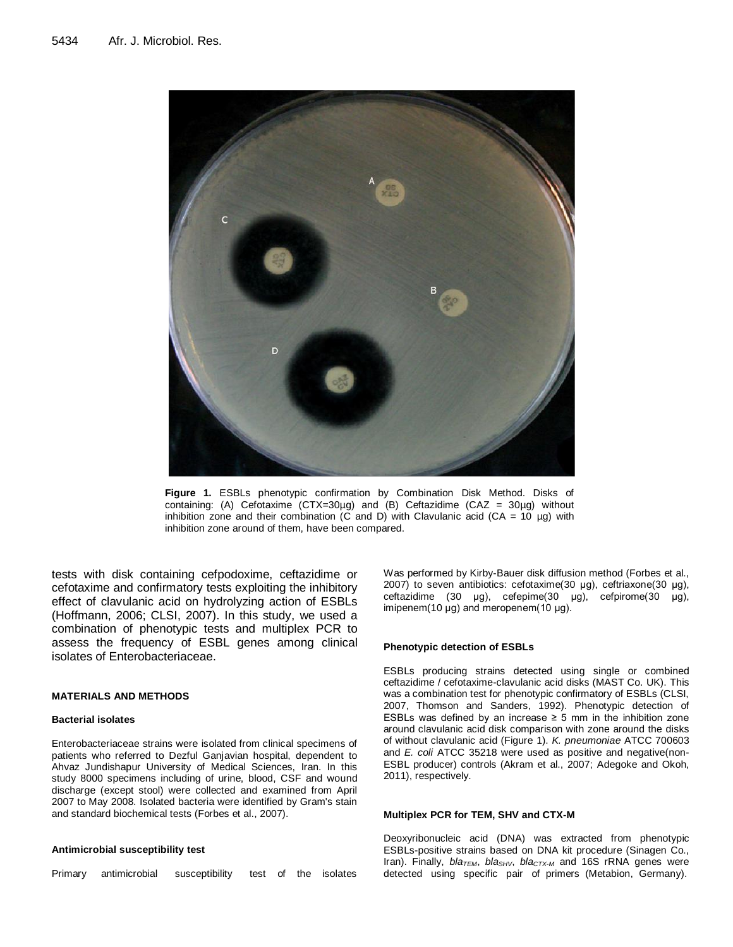

**Figure 1.** ESBLs phenotypic confirmation by Combination Disk Method. Disks of containing: (A) Cefotaxime (CTX=30µg) and (B) Ceftazidime (CAZ = 30µg) without inhibition zone and their combination (C and D) with Clavulanic acid (CA = 10  $\mu$ g) with inhibition zone around of them, have been compared.

tests with disk containing cefpodoxime, ceftazidime or cefotaxime and confirmatory tests exploiting the inhibitory effect of clavulanic acid on hydrolyzing action of ESBLs (Hoffmann, 2006; CLSI, 2007). In this study, we used a combination of phenotypic tests and multiplex PCR to assess the frequency of ESBL genes among clinical isolates of Enterobacteriaceae.

#### **MATERIALS AND METHODS**

#### **Bacterial isolates**

Enterobacteriaceae strains were isolated from clinical specimens of patients who referred to Dezful Ganjavian hospital, dependent to Ahvaz Jundishapur University of Medical Sciences, Iran. In this study 8000 specimens including of urine, blood, CSF and wound discharge (except stool) were collected and examined from April 2007 to May 2008. Isolated bacteria were identified by Gram's stain and standard biochemical tests (Forbes et al., 2007).

#### **Antimicrobial susceptibility test**

Primary antimicrobial susceptibility test of the isolates

Was performed by Kirby-Bauer disk diffusion method (Forbes et al., 2007) to seven antibiotics: cefotaxime(30 μg), ceftriaxone(30 μg), ceftazidime (30 μg), cefepime(30 μg), cefpirome(30 μg), imipenem(10 μg) and meropenem(10 μg).

#### **Phenotypic detection of ESBLs**

ESBLs producing strains detected using single or combined ceftazidime / cefotaxime-clavulanic acid disks (MAST Co. UK). This was a combination test for phenotypic confirmatory of ESBLs (CLSI, 2007, Thomson and Sanders, 1992). Phenotypic detection of ESBLs was defined by an increase  $\geq$  5 mm in the inhibition zone around clavulanic acid disk comparison with zone around the disks of without clavulanic acid (Figure 1). *K. pneumoniae* ATCC 700603 and *E. coli* ATCC 35218 were used as positive and negative(non-ESBL producer) controls (Akram et al., 2007; Adegoke and Okoh, 2011), respectively.

#### **Multiplex PCR for TEM, SHV and CTX-M**

Deoxyribonucleic acid (DNA) was extracted from phenotypic ESBLs-positive strains based on DNA kit procedure (Sinagen Co., Iran). Finally, *bla<sub>TEM</sub>*, *bla<sub>SHV</sub>*, *bla<sub>CTX-M</sub>* and 16S rRNA genes were detected using specific pair of primers (Metabion, Germany).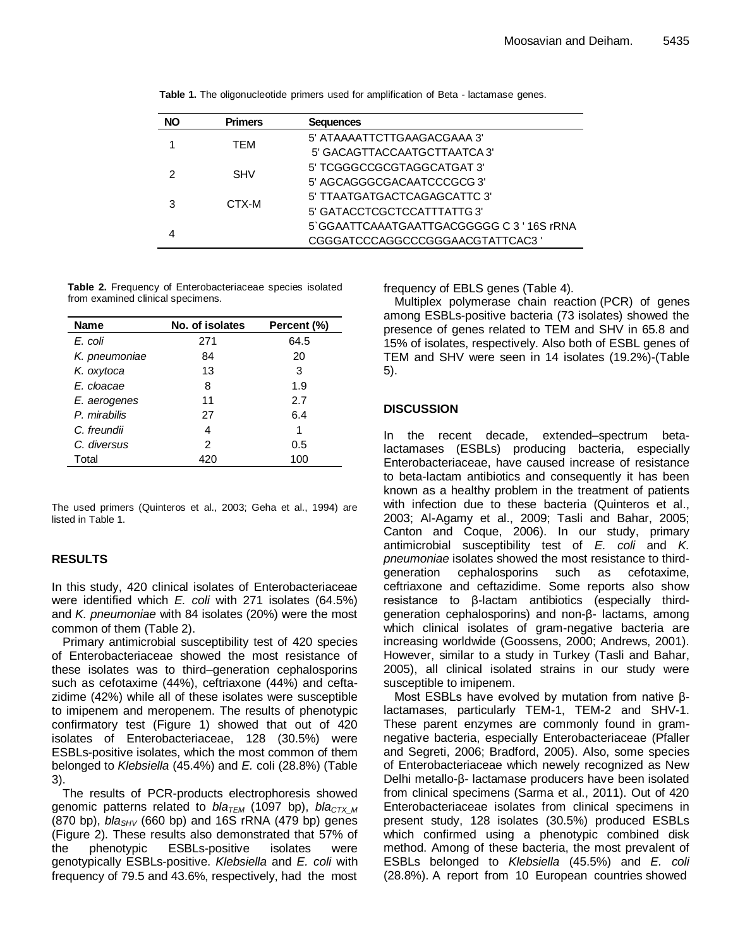| <b>NO</b> | <b>Primers</b> | <b>Sequences</b>                          |
|-----------|----------------|-------------------------------------------|
|           | TEM            | 5' ATAAAATTCTTGAAGACGAAA 3'               |
|           |                | 5' GACAGTTACCAATGCTTAATCA3'               |
|           | <b>SHV</b>     | 5' TCGGGCCGCGTAGGCATGAT 3'                |
|           |                | 5' AGCAGGGCGACAATCCCGCG 3'                |
|           | CTX-M          | 5' TTAATGATGACTCAGAGCATTC 3'              |
|           |                | 5' GATACCTCGCTCCATTTATTG3'                |
|           |                | 5'GGAATTCAAATGAATTGACGGGGGC C 3 '16S rRNA |
|           |                | CGGGATCCCAGGCCCGGGAACGTATTCAC3            |

**Table 1.** The oligonucleotide primers used for amplification of Beta - lactamase genes.

**Table 2.** Frequency of Enterobacteriaceae species isolated from examined clinical specimens.

| <b>Name</b>   | No. of isolates | Percent (%) |
|---------------|-----------------|-------------|
| E. coli       | 271             | 64.5        |
| K. pneumoniae | 84              | 20          |
| K. oxytoca    | 13              | 3           |
| E. cloacae    | 8               | 1.9         |
| E. aerogenes  | 11              | 2.7         |
| P. mirabilis  | 27              | 6.4         |
| C. freundii   | 4               | 1           |
| C. diversus   | 2               | 0.5         |
| Total         | 420             | 100         |

The used primers (Quinteros et al., 2003; Geha et al., 1994) are listed in Table 1.

## **RESULTS**

In this study, 420 clinical isolates of Enterobacteriaceae were identified which *E. coli* with 271 isolates (64.5%) and *K. pneumoniae* with 84 isolates (20%) were the most common of them (Table 2).

Primary antimicrobial susceptibility test of 420 species of Enterobacteriaceae showed the most resistance of these isolates was to third–generation cephalosporins such as cefotaxime (44%), ceftriaxone (44%) and ceftazidime (42%) while all of these isolates were susceptible to imipenem and meropenem. The results of phenotypic confirmatory test (Figure 1) showed that out of 420 isolates of Enterobacteriaceae, 128 (30.5%) were ESBLs-positive isolates, which the most common of them belonged to *Klebsiella* (45.4%) and *E.* coli (28.8%) (Table 3).

The results of PCR-products electrophoresis showed genomic patterns related to *bla<sub>TEM</sub>* (1097 bp), *bla<sub>CTX M</sub>* (870 bp), *blaSHV* (660 bp) and 16S rRNA (479 bp) genes (Figure 2). These results also demonstrated that 57% of the phenotypic ESBLs-positive isolates were genotypically ESBLs-positive. *Klebsiella* and *E. coli* with frequency of 79.5 and 43.6%, respectively, had the most

frequency of EBLS genes (Table 4).

Multiplex polymerase chain reaction (PCR) of genes among ESBLs-positive bacteria (73 isolates) showed the presence of genes related to TEM and SHV in 65.8 and 15% of isolates, respectively. Also both of ESBL genes of TEM and SHV were seen in 14 isolates (19.2%)-(Table 5).

## **DISCUSSION**

In the recent decade, extended–spectrum betalactamases (ESBLs) producing bacteria, especially Enterobacteriaceae, have caused increase of resistance to beta-lactam antibiotics and consequently it has been known as a healthy problem in the treatment of patients with infection due to these bacteria (Quinteros et al., 2003; Al-Agamy et al., 2009; Tasli and Bahar, 2005; Canton and Coque, 2006). In our study, primary antimicrobial susceptibility test of *E. coli* and *K. pneumoniae* isolates showed the most resistance to thirdgeneration cephalosporins such as cefotaxime, ceftriaxone and ceftazidime. Some reports also show resistance to β-lactam antibiotics (especially thirdgeneration cephalosporins) and non-β- lactams, among which clinical isolates of gram-negative bacteria are increasing worldwide (Goossens, 2000; Andrews, 2001). However, similar to a study in Turkey (Tasli and Bahar, 2005), all clinical isolated strains in our study were susceptible to imipenem.

Most ESBLs have evolved by mutation from native βlactamases, particularly TEM-1, TEM-2 and SHV-1. These parent enzymes are commonly found in gramnegative bacteria, especially Enterobacteriaceae (Pfaller and Segreti, 2006; Bradford, 2005). Also, some species of Enterobacteriaceae which newely recognized as New Delhi metallo-β- lactamase producers have been isolated from clinical specimens (Sarma et al., 2011). Out of 420 Enterobacteriaceae isolates from clinical specimens in present study, 128 isolates (30.5%) produced ESBLs which confirmed using a phenotypic combined disk method. Among of these bacteria, the most prevalent of ESBLs belonged to *Klebsiella* (45.5%) and *E. coli* (28.8%). A report from 10 European countries showed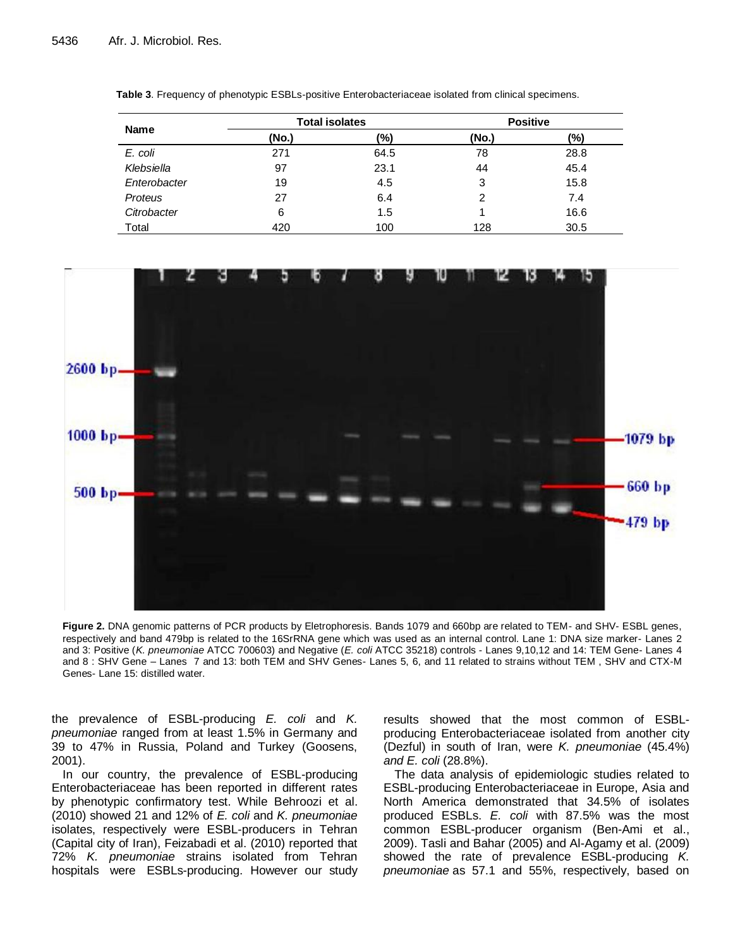|              | <b>Total isolates</b> |      | <b>Positive</b> |      |  |  |
|--------------|-----------------------|------|-----------------|------|--|--|
| <b>Name</b>  | (No.)                 | (%)  | (No.)           | (%)  |  |  |
| E. coli      | 271                   | 64.5 | 78              | 28.8 |  |  |
| Klebsiella   | 97                    | 23.1 | 44              | 45.4 |  |  |
| Enterobacter | 19                    | 4.5  | 3               | 15.8 |  |  |
| Proteus      | 27                    | 6.4  | $\mathcal{P}$   | 7.4  |  |  |
| Citrobacter  | 6                     | 1.5  |                 | 16.6 |  |  |
| Total        | 420                   | 100  | 128             | 30.5 |  |  |

**Table 3**. Frequency of phenotypic ESBLs-positive Enterobacteriaceae isolated from clinical specimens.



**Figure 2.** DNA genomic patterns of PCR products by Eletrophoresis. Bands 1079 and 660bp are related to TEM- and SHV- ESBL genes, respectively and band 479bp is related to the 16SrRNA gene which was used as an internal control. Lane 1: DNA size marker- Lanes 2 and 3: Positive (*K. pneumoniae* ATCC 700603) and Negative (*E. coli* ATCC 35218) controls - Lanes 9,10,12 and 14: TEM Gene- Lanes 4 and 8 : SHV Gene – Lanes 7 and 13: both TEM and SHV Genes- Lanes 5, 6, and 11 related to strains without TEM , SHV and CTX-M Genes- Lane 15: distilled water.

the prevalence of ESBL-producing *E. coli* and *K. pneumoniae* ranged from at least 1.5% in Germany and 39 to 47% in Russia, Poland and Turkey (Goosens, 2001).

In our country, the prevalence of ESBL-producing Enterobacteriaceae has been reported in different rates by phenotypic confirmatory test. While Behroozi et al. (2010) showed 21 and 12% of *E. coli* and *K. pneumoniae* isolates, respectively were ESBL-producers in Tehran (Capital city of Iran), Feizabadi et al. (2010) reported that 72% *K. pneumoniae* strains isolated from Tehran hospitals were ESBLs-producing. However our study

results showed that the most common of ESBLproducing Enterobacteriaceae isolated from another city (Dezful) in south of Iran, were *K. pneumoniae* (45.4%) *and E. coli* (28.8%).

The data analysis of epidemiologic studies related to ESBL-producing Enterobacteriaceae in Europe, Asia and North America demonstrated that 34.5% of isolates produced ESBLs. *E. coli* with 87.5% was the most common ESBL-producer organism (Ben-Ami et al., 2009). Tasli and Bahar (2005) and Al-Agamy et al. (2009) showed the rate of prevalence ESBL-producing *K. pneumoniae* as 57.1 and 55%, respectively, based on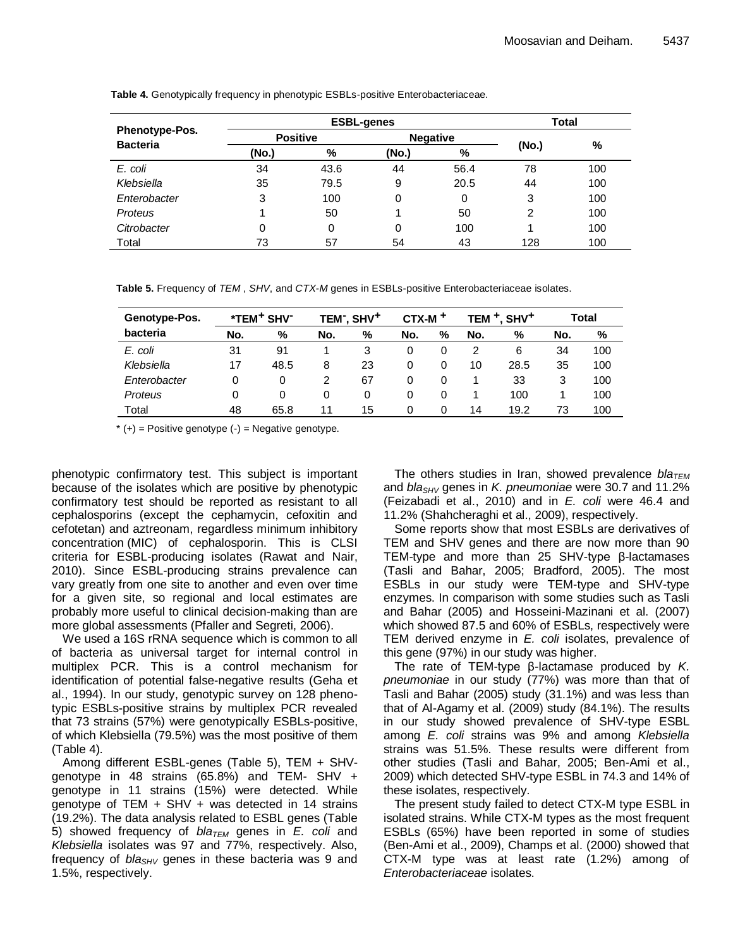|                       |                 | <b>Total</b> |       |                 |                |     |
|-----------------------|-----------------|--------------|-------|-----------------|----------------|-----|
| <b>Phenotype-Pos.</b> | <b>Positive</b> |              |       | <b>Negative</b> |                |     |
| <b>Bacteria</b>       | (No.)           | %            | (No.) | %               | (No.)          | %   |
| E. coli               | 34              | 43.6         | 44    | 56.4            | 78             | 100 |
| Klebsiella            | 35              | 79.5         | 9     | 20.5            | 44             | 100 |
| Enterobacter          | 3               | 100          | 0     | 0               | 3              | 100 |
| Proteus               |                 | 50           |       | 50              | $\overline{2}$ | 100 |
| Citrobacter           | 0               | 0            | 0     | 100             |                | 100 |
| Total                 | 73              | 57           | 54    | 43              | 128            | 100 |

**Table 4.** Genotypically frequency in phenotypic ESBLs-positive Enterobacteriaceae.

**Table 5.** Frequency of *TEM* , *SHV*, and *CTX-M* genes in ESBLs-positive Enterobacteriaceae isolates.

| Genotype-Pos. |     | *TEM <sup>+</sup> SHV <sup>-</sup> |     | TEM <sup>-</sup> , SHV <sup>+</sup> | $CTX-M$ <sup>+</sup> |   |     | TEM <sup>+</sup> , SHV <sup>+</sup> |     | Total |
|---------------|-----|------------------------------------|-----|-------------------------------------|----------------------|---|-----|-------------------------------------|-----|-------|
| bacteria      | No. | %                                  | No. | %                                   | No.                  | % | No. | %                                   | No. | %     |
| E. coli       | 31  | 91                                 |     |                                     | 0                    | 0 |     | 6                                   | 34  | 100   |
| Klebsiella    | 17  | 48.5                               | 8   | 23                                  | 0                    | 0 | 10  | 28.5                                | 35  | 100   |
| Enterobacter  | 0   | 0                                  |     | 67                                  | 0                    | 0 |     | 33                                  | 3   | 100   |
| Proteus       | 0   | 0                                  | 0   |                                     | 0                    | 0 |     | 100                                 |     | 100   |
| Total         | 48  | 65.8                               | 11  | 15                                  | 0                    |   | 14  | 19.2                                | 73  | 100   |

 $*(+)$  = Positive genotype  $(-)$  = Negative genotype.

phenotypic confirmatory test. This subject is important because of the isolates which are positive by phenotypic confirmatory test should be reported as resistant to all cephalosporins (except the cephamycin, cefoxitin and cefotetan) and aztreonam, regardless minimum inhibitory concentration (MIC) of cephalosporin. This is CLSI criteria for ESBL-producing isolates (Rawat and Nair, 2010). Since ESBL-producing strains prevalence can vary greatly from one site to another and even over time for a given site, so regional and local estimates are probably more useful to clinical decision-making than are more global assessments (Pfaller and Segreti, 2006).

We used a 16S rRNA sequence which is common to all of bacteria as universal target for internal control in multiplex PCR. This is a control mechanism for identification of potential false-negative results (Geha et al., 1994). In our study, genotypic survey on 128 phenotypic ESBLs-positive strains by multiplex PCR revealed that 73 strains (57%) were genotypically ESBLs-positive, of which Klebsiella (79.5%) was the most positive of them (Table 4).

Among different ESBL-genes (Table 5), TEM + SHVgenotype in 48 strains (65.8%) and TEM- SHV + genotype in 11 strains (15%) were detected. While genotype of TEM  $+$  SHV  $+$  was detected in 14 strains (19.2%). The data analysis related to ESBL genes (Table 5) showed frequency of *blaTEM* genes in *E. coli* and *Klebsiella* isolates was 97 and 77%, respectively. Also, frequency of *blaSHV* genes in these bacteria was 9 and 1.5%, respectively.

The others studies in Iran, showed prevalence *bla<sub>TEM</sub>* and *blaSHV* genes in *K. pneumoniae* were 30.7 and 11.2% (Feizabadi et al., 2010) and in *E. coli* were 46.4 and 11.2% (Shahcheraghi et al., 2009), respectively.

Some reports show that most ESBLs are derivatives of TEM and SHV genes and there are now more than 90 TEM-type and more than 25 SHV-type β-lactamases (Tasli and Bahar, 2005; Bradford, 2005). The most ESBLs in our study were TEM-type and SHV-type enzymes. In comparison with some studies such as Tasli and Bahar (2005) and Hosseini-Mazinani et al. (2007) which showed 87.5 and 60% of ESBLs, respectively were TEM derived enzyme in *E. coli* isolates, prevalence of this gene (97%) in our study was higher.

The rate of TEM-type β-lactamase produced by *K. pneumoniae* in our study (77%) was more than that of Tasli and Bahar (2005) study (31.1%) and was less than that of Al-Agamy et al. (2009) study (84.1%). The results in our study showed prevalence of SHV-type ESBL among *E. coli* strains was 9% and among *Klebsiella* strains was 51.5%. These results were different from other studies (Tasli and Bahar, 2005; Ben-Ami et al., 2009) which detected SHV-type ESBL in 74.3 and 14% of these isolates, respectively.

The present study failed to detect CTX-M type ESBL in isolated strains. While CTX-M types as the most frequent ESBLs (65%) have been reported in some of studies (Ben-Ami et al., 2009), Champs et al. (2000) showed that CTX-M type was at least rate (1.2%) among of *Enterobacteriaceae* isolates.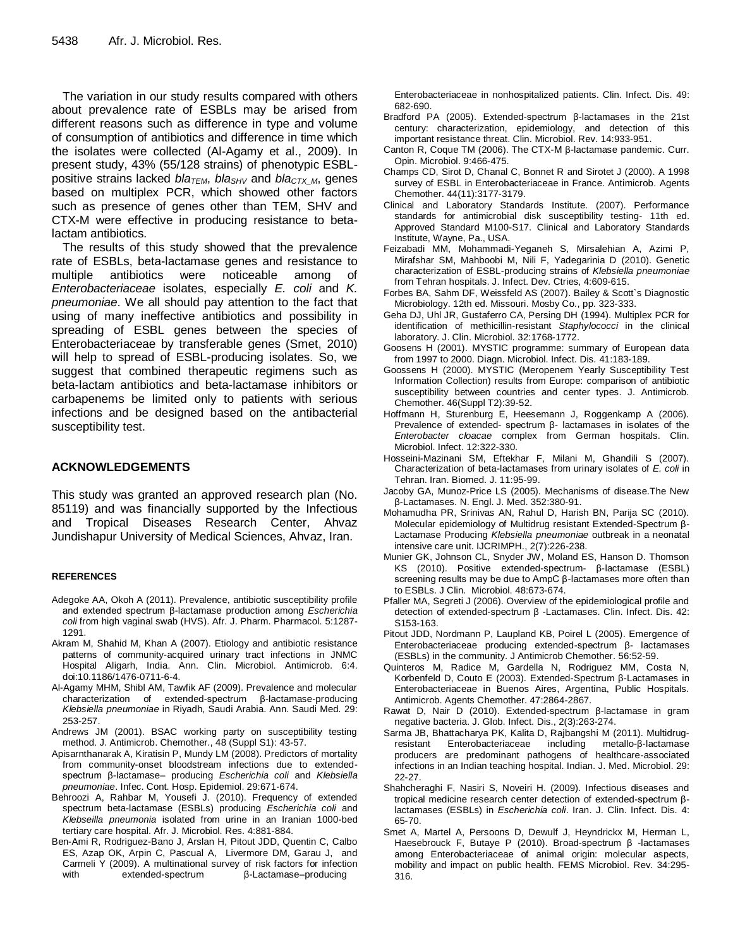The variation in our study results compared with others about prevalence rate of ESBLs may be arised from different reasons such as difference in type and volume of consumption of antibiotics and difference in time which the isolates were collected (Al-Agamy et al., 2009). In present study, 43% (55/128 strains) of phenotypic ESBLpositive strains lacked *blaTEM*, *blaSHV* and *blaCTX\_M*, genes based on multiplex PCR, which showed other factors such as presence of genes other than TEM, SHV and CTX-M were effective in producing resistance to betalactam antibiotics.

The results of this study showed that the prevalence rate of ESBLs, beta-lactamase genes and resistance to multiple antibiotics were noticeable among of *Enterobacteriaceae* isolates, especially *E. coli* and *K. pneumoniae*. We all should pay attention to the fact that using of many ineffective antibiotics and possibility in spreading of ESBL genes between the species of Enterobacteriaceae by transferable genes (Smet, 2010) will help to spread of ESBL-producing isolates. So, we suggest that combined therapeutic regimens such as beta-lactam antibiotics and beta-lactamase inhibitors or carbapenems be limited only to patients with serious infections and be designed based on the antibacterial susceptibility test.

### **ACKNOWLEDGEMENTS**

This study was granted an approved research plan (No. 85119) and was financially supported by the Infectious and Tropical Diseases Research Center, Ahvaz Jundishapur University of Medical Sciences, Ahvaz, Iran.

#### **REFERENCES**

- Adegoke AA, Okoh A (2011). Prevalence, antibiotic susceptibility profile and extended spectrum β-lactamase production among *Escherichia coli* from high vaginal swab (HVS). Afr. J. Pharm. Pharmacol. 5:1287- 1291.
- Akram M, Shahid M, Khan A (2007). Etiology and antibiotic resistance patterns of community-acquired urinary tract infections in JNMC Hospital Aligarh, India. Ann. Clin. Microbiol. Antimicrob. 6:4. doi:10.1186/1476-0711-6-4.
- Al-Agamy MHM, Shibl AM, Tawfik AF (2009). Prevalence and molecular characterization of extended-spectrum β-lactamase-producing *Klebsiella pneumoniae* in Riyadh, Saudi Arabia. Ann. Saudi Med. 29: 253-257.
- Andrews JM (2001). BSAC working party on susceptibility testing method. J. Antimicrob. Chemother., 48 (Suppl S1): 43-57.
- Apisarnthanarak A, Kiratisin P, Mundy LM (2008). Predictors of mortality from community-onset bloodstream infections due to extendedspectrum β-lactamase– producing *Escherichia coli* and *Klebsiella pneumoniae*. Infec. Cont. Hosp. Epidemiol. 29:671-674.
- Behroozi A, Rahbar M, Yousefi J. (2010). Frequency of extended spectrum beta-lactamase (ESBLs) producing *Escherichia coli* and *Klebseilla pneumonia* isolated from urine in an Iranian 1000-bed tertiary care hospital. Afr. J. Microbiol. Res. 4:881-884.
- Ben-Ami R, Rodriguez-Bano J, Arslan H, Pitout JDD, Quentin C, Calbo ES, Azap OK, Arpin C, Pascual A, Livermore DM, Garau J, and Carmeli Y (2009). A multinational survey of risk factors for infection with extended-spectrum β-Lactamase–producing

Enterobacteriaceae in nonhospitalized patients. Clin. Infect. Dis. 49: 682-690.

- Bradford PA (2005). Extended-spectrum β-lactamases in the 21st century: characterization, epidemiology, and detection of this important resistance threat. Clin. Microbiol. Rev. 14:933-951.
- Canton R, Coque TM (2006). The CTX-M β-lactamase pandemic. Curr. Opin. Microbiol. 9:466-475.
- Champs CD, Sirot D, Chanal C, Bonnet R and Sirotet J (2000). A 1998 survey of ESBL in Enterobacteriaceae in France. Antimicrob. Agents Chemother. 44(11):3177-3179.
- Clinical and Laboratory Standards Institute. (2007). Performance standards for antimicrobial disk susceptibility testing- 11th ed. Approved Standard M100-S17. Clinical and Laboratory Standards Institute, Wayne, Pa., USA.
- Feizabadi MM, Mohammadi-Yeganeh S, Mirsalehian A, Azimi P, Mirafshar SM, Mahboobi M, Nili F, Yadegarinia D (2010). Genetic characterization of ESBL-producing strains of *Klebsiella pneumoniae* from Tehran hospitals. J. Infect. Dev. Ctries, 4:609-615.
- Forbes BA, Sahm DF, Weissfeld AS (2007). Bailey & Scott`s Diagnostic Microbiology. 12th ed. Missouri. Mosby Co., pp. 323-333.
- Geha DJ, Uhl JR, Gustaferro CA, Persing DH (1994). Multiplex PCR for identification of methicillin-resistant *Staphylococci* in the clinical laboratory. J. Clin. Microbiol. 32:1768-1772.
- Goosens H (2001). MYSTIC programme: summary of European data from 1997 to 2000. Diagn. Microbiol. Infect. Dis. 41:183-189.
- Goossens H (2000). MYSTIC (Meropenem Yearly Susceptibility Test Information Collection) results from Europe: comparison of antibiotic susceptibility between countries and center types. J. Antimicrob. Chemother. 46(Suppl T2):39-52.
- Hoffmann H, Sturenburg E, Heesemann J, Roggenkamp A (2006). Prevalence of extended- spectrum β- lactamases in isolates of the *Enterobacter cloacae* complex from German hospitals. Clin. Microbiol. Infect. 12:322-330.
- Hosseini-Mazinani SM, Eftekhar F, Milani M, Ghandili S (2007). Characterization of beta-lactamases from urinary isolates of *E. coli* in Tehran. Iran. Biomed. J. 11:95-99.
- Jacoby GA, Munoz-Price LS (2005). Mechanisms of disease.The New β-Lactamases. N. Engl. J. Med. 352:380-91.
- Mohamudha PR, Srinivas AN, Rahul D, Harish BN, Parija SC (2010). Molecular epidemiology of Multidrug resistant Extended-Spectrum β-Lactamase Producing *Klebsiella pneumoniae* outbreak in a neonatal intensive care unit. IJCRIMPH., 2(7):226-238.
- Munier GK, Johnson CL, Snyder JW, Moland ES, Hanson D. Thomson KS (2010). Positive extended-spectrum- β-lactamase (ESBL) screening results may be due to AmpC β-lactamases more often than to ESBLs. J Clin. Microbiol. 48:673-674.
- Pfaller MA, Segreti J (2006). Overview of the epidemiological profile and detection of extended-spectrum β -Lactamases. Clin. Infect. Dis. 42: S153-163.
- Pitout JDD, Nordmann P, Laupland KB, Poirel L (2005). Emergence of Enterobacteriaceae producing extended-spectrum β- lactamases (ESBLs) in the community. J Antimicrob Chemother. 56:52-59.
- Quinteros M, Radice M, Gardella N, Rodriguez MM, Costa N, Korbenfeld D, Couto E (2003). Extended-Spectrum β-Lactamases in Enterobacteriaceae in Buenos Aires, Argentina, Public Hospitals. Antimicrob. Agents Chemother. 47:2864-2867.
- Rawat D, Nair D (2010). Extended-spectrum β-lactamase in gram negative bacteria. J. Glob. Infect. Dis., 2(3):263-274.
- Sarma JB, Bhattacharya PK, Kalita D, Rajbangshi M (2011). Multidrugresistant Enterobacteriaceae including metallo-β-lactamase producers are predominant pathogens of healthcare-associated infections in an Indian teaching hospital. Indian. J. Med. Microbiol. 29: 22-27.
- Shahcheraghi F, Nasiri S, Noveiri H. (2009). Infectious diseases and tropical medicine research center detection of extended-spectrum βlactamases (ESBLs) in *Escherichia coli*. Iran. J. Clin. Infect. Dis. 4: 65-70.
- Smet A, Martel A, Persoons D, Dewulf J, Heyndrickx M, Herman L, Haesebrouck F, Butaye P (2010). Broad-spectrum β -lactamases among Enterobacteriaceae of animal origin: molecular aspects, mobility and impact on public health. FEMS Microbiol. Rev. 34:295- 316.